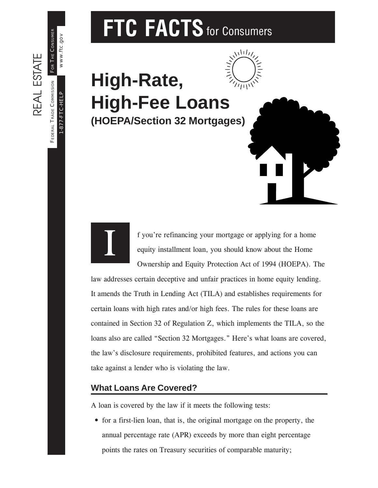# FTC FACTS for Consumers

# **High-Rate, High-Fee Loans (HOEPA/Section 32 Mortgages)**





REAL ESTATE

REAL ESTATE

1-877-FTC-HELP

www.ftc.gov

FEDERAL TRADE COMMISSION FOR THE CONSUMER

FEDERAL TRADE COMMISSION 877-FTC-HELP

FOR THE CONSUMER www.ftc.gov

> f you're refinancing your mortgage or applying for a home equity installment loan, you should know about the Home Ownership and Equity Protection Act of 1994 (HOEPA). The

 $\sqrt{111}/7$ 

law addresses certain deceptive and unfair practices in home equity lending. It amends the Truth in Lending Act (TILA) and establishes requirements for certain loans with high rates and/or high fees. The rules for these loans are contained in Section 32 of Regulation Z, which implements the TILA, so the loans also are called "Section 32 Mortgages." Here's what loans are covered, the law's disclosure requirements, prohibited features, and actions you can take against a lender who is violating the law.

#### **What Loans Are Covered?**

A loan is covered by the law if it meets the following tests:

• for a first-lien loan, that is, the original mortgage on the property, the annual percentage rate (APR) exceeds by more than eight percentage points the rates on Treasury securities of comparable maturity;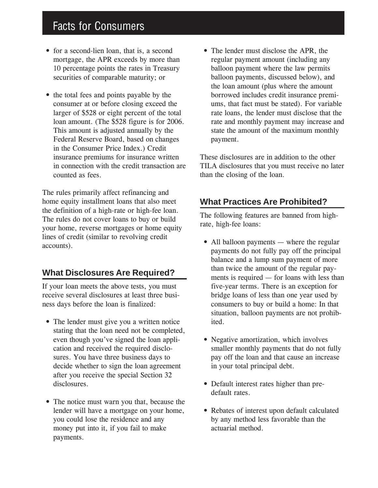### Facts for Consumers

- for a second-lien loan, that is, a second mortgage, the APR exceeds by more than 10 percentage points the rates in Treasury securities of comparable maturity; or
- the total fees and points payable by the consumer at or before closing exceed the larger of \$528 or eight percent of the total loan amount. (The \$528 figure is for 2006. This amount is adjusted annually by the Federal Reserve Board, based on changes in the Consumer Price Index.) Credit insurance premiums for insurance written in connection with the credit transaction are counted as fees.

The rules primarily affect refinancing and home equity installment loans that also meet the definition of a high-rate or high-fee loan. The rules do not cover loans to buy or build your home, reverse mortgages or home equity lines of credit (similar to revolving credit accounts).

#### **What Disclosures Are Required?**

If your loan meets the above tests, you must receive several disclosures at least three business days before the loan is finalized:

- The lender must give you a written notice stating that the loan need not be completed, even though you've signed the loan application and received the required disclosures. You have three business days to decide whether to sign the loan agreement after you receive the special Section 32 disclosures.
- The notice must warn you that, because the lender will have a mortgage on your home, you could lose the residence and any money put into it, if you fail to make payments.

• The lender must disclose the APR, the regular payment amount (including any balloon payment where the law permits balloon payments, discussed below), and the loan amount (plus where the amount borrowed includes credit insurance premiums, that fact must be stated). For variable rate loans, the lender must disclose that the rate and monthly payment may increase and state the amount of the maximum monthly payment.

These disclosures are in addition to the other TILA disclosures that you must receive no later than the closing of the loan.

#### **What Practices Are Prohibited?**

The following features are banned from highrate, high-fee loans:

- All balloon payments where the regular payments do not fully pay off the principal balance and a lump sum payment of more than twice the amount of the regular payments is required — for loans with less than five-year terms. There is an exception for bridge loans of less than one year used by consumers to buy or build a home: In that situation, balloon payments are not prohibited.
- Negative amortization, which involves smaller monthly payments that do not fully pay off the loan and that cause an increase in your total principal debt.
- Default interest rates higher than predefault rates.
- Rebates of interest upon default calculated by any method less favorable than the actuarial method.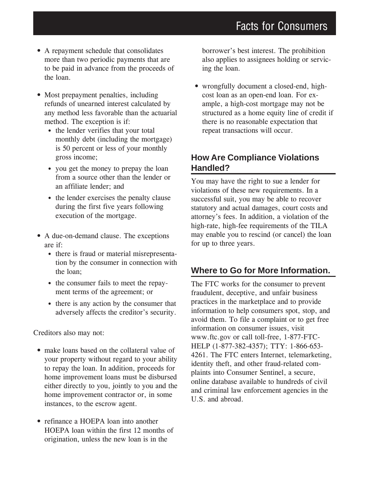- A repayment schedule that consolidates more than two periodic payments that are to be paid in advance from the proceeds of the loan.
- Most prepayment penalties, including refunds of unearned interest calculated by any method less favorable than the actuarial method. The exception is if:
	- the lender verifies that your total monthly debt (including the mortgage) is 50 percent or less of your monthly gross income;
	- you get the money to prepay the loan from a source other than the lender or an affiliate lender; and
	- the lender exercises the penalty clause during the first five years following execution of the mortgage.
- A due-on-demand clause. The exceptions are if:
	- there is fraud or material misrepresentation by the consumer in connection with the loan;
	- the consumer fails to meet the repayment terms of the agreement; or
	- there is any action by the consumer that adversely affects the creditor's security.

Creditors also may not:

- make loans based on the collateral value of your property without regard to your ability to repay the loan. In addition, proceeds for home improvement loans must be disbursed either directly to you, jointly to you and the home improvement contractor or, in some instances, to the escrow agent.
- refinance a HOEPA loan into another HOEPA loan within the first 12 months of origination, unless the new loan is in the

borrower's best interest. The prohibition also applies to assignees holding or servicing the loan.

• wrongfully document a closed-end, highcost loan as an open-end loan. For example, a high-cost mortgage may not be structured as a home equity line of credit if there is no reasonable expectation that repeat transactions will occur.

#### **How Are Compliance Violations Handled?**

You may have the right to sue a lender for violations of these new requirements. In a successful suit, you may be able to recover statutory and actual damages, court costs and attorney's fees. In addition, a violation of the high-rate, high-fee requirements of the TILA may enable you to rescind (or cancel) the loan for up to three years.

#### **Where to Go for More Information.**

The FTC works for the consumer to prevent fraudulent, deceptive, and unfair business practices in the marketplace and to provide information to help consumers spot, stop, and avoid them. To file a complaint or to get free information on consumer issues, visit www.ftc.gov or call toll-free, 1-877-FTC-HELP (1-877-382-4357); TTY: 1-866-653- 4261. The FTC enters Internet, telemarketing, identity theft, and other fraud-related complaints into Consumer Sentinel, a secure, online database available to hundreds of civil and criminal law enforcement agencies in the U.S. and abroad.